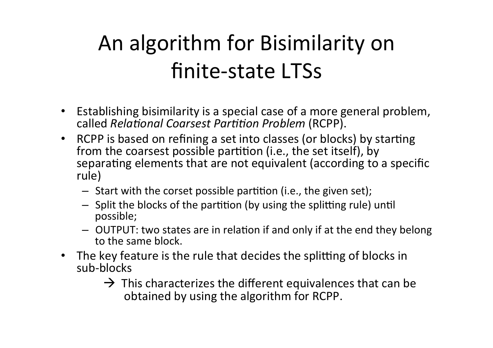# An algorithm for Bisimilarity on finite-state LTSs

- Establishing bisimilarity is a special case of a more general problem,  $c$ alled *Relational Coarsest Partition Problem* (RCPP).
- RCPP is based on refining a set into classes (or blocks) by starting from the coarsest possible partition (i.e., the set itself), by separating elements that are not equivalent (according to a specific rule)
	- $-$  Start with the corset possible partition (i.e., the given set);
	- $-$  Split the blocks of the partition (by using the splitting rule) until possible;
	- OUTPUT: two states are in relation if and only if at the end they belong to the same block.
- The key feature is the rule that decides the splitting of blocks in sub-blocks
	- $\rightarrow$  This characterizes the different equivalences that can be obtained by using the algorithm for RCPP.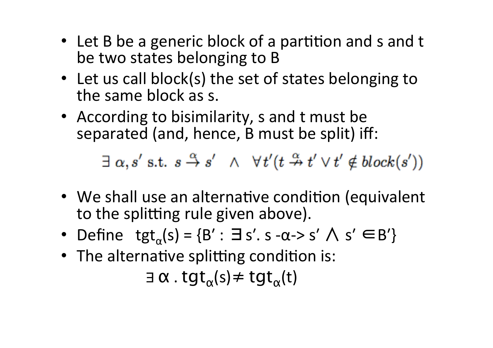- Let B be a generic block of a partition and s and t be two states belonging to B
- Let us call block(s) the set of states belonging to the same block as s.
- According to bisimilarity, s and t must be separated (and, hence, B must be split) iff:

 $\exists \alpha, s' \text{ s.t. } s \stackrel{\alpha}{\rightarrow} s' \land \forall t' (t \stackrel{\alpha}{\rightarrow} t' \lor t' \notin block(s'))$ 

- We shall use an alternative condition (equivalent to the splitting rule given above).
- Define  $\textrm{tgt}_{\alpha}(s) = \{B': \exists s'. s \alpha > s' \land s' \in B'\}$
- The alternative splitting condition is:

 $\exists \alpha$ . tgt<sub> $\alpha$ </sub>(s)  $\neq$  tgt<sub> $\alpha$ </sub>(t)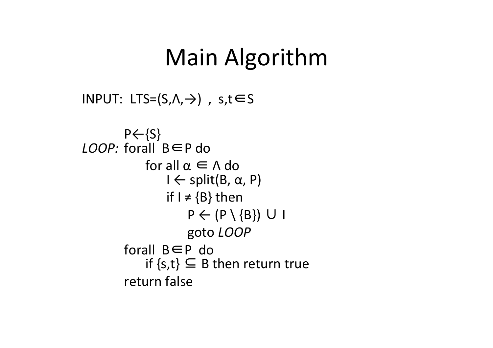### Main Algorithm

```
INPUT: LTS=(S, A, \rightarrow), s,t∈S
```

```
P \leftarrow \{S\}LOOP: forall B∈P do
                   for all \alpha \in \Lambda do<br>
I \leftarrow split(B, \alpha, P)
                          if I \neq \{B\} then
                                 P \leftarrow (P \setminus \{B\}) \cup I						goto LOOP	
             forall B \in P do<br>
if {s,t} \subseteq B then return true
             return false
```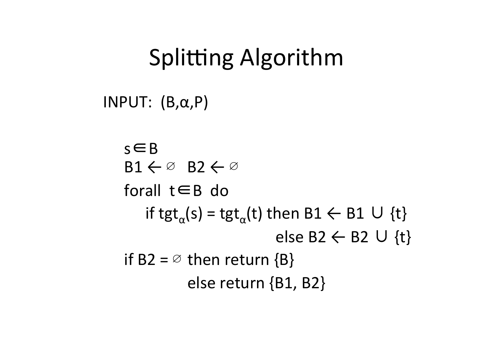## Splitting Algorithm

INPUT:  $(B, \alpha, P)$ 

 s∈B  $B1 \leftarrow \emptyset$   $B2 \leftarrow \emptyset$ forall  $t \in B$  do if tgt<sub>a</sub>(s) = tgt<sub>a</sub>(t) then  $B1 \leftarrow B1 \cup \{t\}$ else B2  $\leftarrow$  B2 ∪ {t} if B2 =  $\emptyset$  then return {B} else return {B1, B2}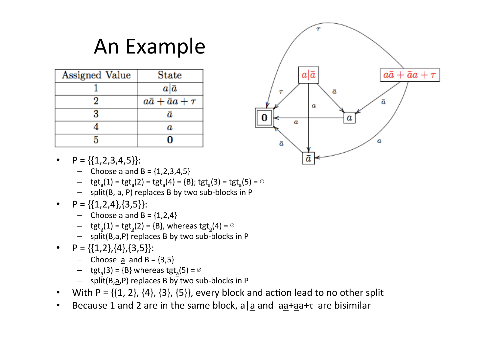## An Example

| Assigned Value | <b>State</b>             |
|----------------|--------------------------|
|                | $a \bar{a}$              |
|                | $a\bar{a}+\bar{a}a+\tau$ |
|                | $\boldsymbol{a}$         |
|                | a                        |
|                |                          |



- $P = \{\{1, 2, 3, 4, 5\}\}$ :
	- Choose a and  $B = \{1,2,3,4,5\}$
	- $-$  tgt<sub>a</sub>(1) = tgt<sub>a</sub>(2) = tgt<sub>a</sub>(4) = {B}; tgt<sub>a</sub>(3) = tgt<sub>a</sub>(5) =  $\varnothing$
	- $-$  split(B, a, P) replaces B by two sub-blocks in P
- $P = \{\{1,2,4\}, \{3,5\}\}$ :
	- Choose  $\underline{a}$  and  $B = \{1,2,4\}$
	- tgt<sub>a</sub>(1) = tgt<sub>a</sub>(2) = {B}, whereas tgt<sub>a</sub>(4) =  $\varnothing$
	- $-$  split(B, $\overline{a}$ ,P) replaces B by two sub-blocks in P
- $P = \{\{1,2\},\{4\},\{3,5\}\}$ :
	- Choose <u>a</u> and B =  $\{3,5\}$
	- tgt<sub>a</sub>(3) = {B} whereas tgt<sub>a</sub>(5) =  $\emptyset$
	- $-$  split(B, $a$ ,P) replaces B by two sub-blocks in P
- With  $P = \{\{1, 2\}, \{4\}, \{3\}, \{5\}\}\$ , every block and action lead to no other split
- Because 1 and 2 are in the same block, a a and  $a + a + b$  are bisimilar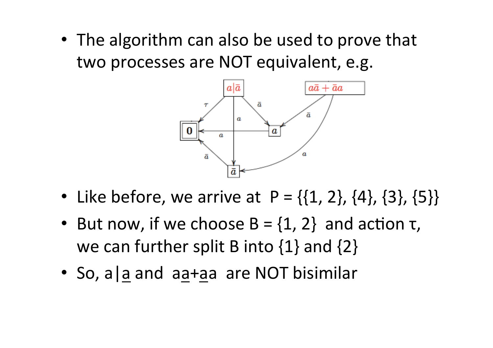• The algorithm can also be used to prove that two processes are NOT equivalent, e.g.



- Like before, we arrive at  $P = \{\{1, 2\}, \{4\}, \{3\}, \{5\}\}\$
- But now, if we choose  $B = \{1, 2\}$  and action  $\tau$ , we can further split B into  $\{1\}$  and  $\{2\}$
- So, a a and aa+aa are NOT bisimilar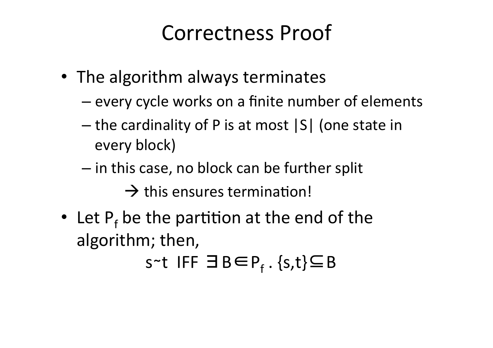#### Correctness Proof

- The algorithm always terminates
	- every cycle works on a finite number of elements
	- $-$  the cardinality of P is at most  $|S|$  (one state in every block)
	- $-$  in this case, no block can be further split  $\rightarrow$  this ensures termination!
- Let  $P_f$  be the partition at the end of the algorithm; then,

s~t IFF  $\exists B \in P_f$ . {s,t}⊆B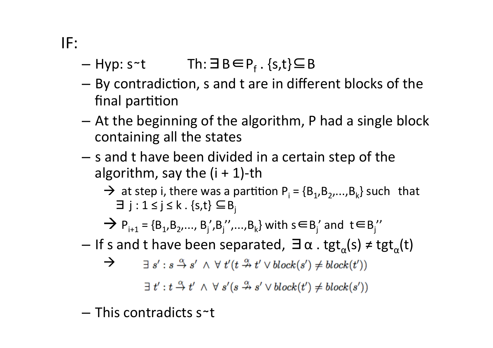IF: 

- $-$  Hyp: s~t Th:  $\exists B \in P_f$ . {s,t} $\subseteq B$
- $-$  By contradiction, s and t are in different blocks of the final partition
- $-$  At the beginning of the algorithm, P had a single block containing all the states
- $-$  s and t have been divided in a certain step of the algorithm, say the  $(i + 1)$ -th
	- $\rightarrow$  at step i, there was a partition P<sub>i</sub> = {B<sub>1</sub>,B<sub>2</sub>,...,B<sub>k</sub>} such that  $\exists j : 1 \le j \le k \cdot \{s, t\} \subseteq B_j$

→ P<sub>i+1</sub> = {B<sub>1</sub>,B<sub>2</sub>,..., B<sub>j</sub>',B<sub>j</sub>'',...,B<sub>k</sub>} with s∈B<sub>j</sub>' and t∈B<sub>j</sub>''

– If s and t have been separated,  $\exists \alpha$ . tgt<sub>α</sub>(s) ≠ tgt<sub>α</sub>(t)

$$
\rightarrow \qquad \exists s': s \stackrel{\alpha}{\rightarrow} s' \ \land \ \forall \ t'(t \stackrel{\alpha}{\nrightarrow} t' \lor block(s') \neq block(t'))
$$

 $\exists t': t \stackrel{\alpha}{\rightarrow} t' \land \forall s'(s \stackrel{\alpha}{\rightarrow} s' \lor block(t') \neq block(s'))$ 

– This contradicts s∼t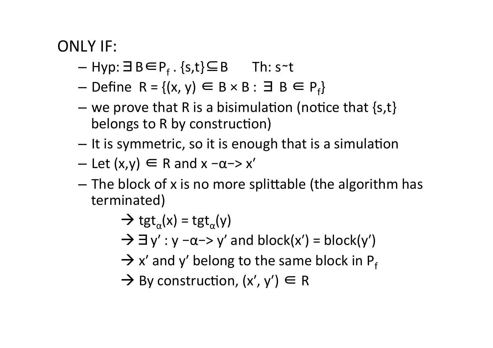#### ONLY IF:

- Hyp:∃B∈P<sub>f</sub>.{s,t}⊆B Th: s~t
- Define R = { $(x, y) \in B \times B$  : ∃ B ∈ P<sub>f</sub>}
- we prove that R is a bisimulation (notice that  $\{s,t\}$ belongs to R by construction)
- $-$  It is symmetric, so it is enough that is a simulation
- $-$  Let  $(x,y) \in R$  and  $x -\alpha$  -> x'
- $-$  The block of x is no more splittable (the algorithm has terminated)
	- $\rightarrow$  tgt<sub>a</sub>(x) = tgt<sub>a</sub>(y)  $\rightarrow \exists y' : y - \alpha \rightarrow y'$  and block(x') = block(y')  $\rightarrow$  x' and y' belong to the same block in P<sub>f</sub>
	- $\rightarrow$  By construction,  $(x', y') \in R$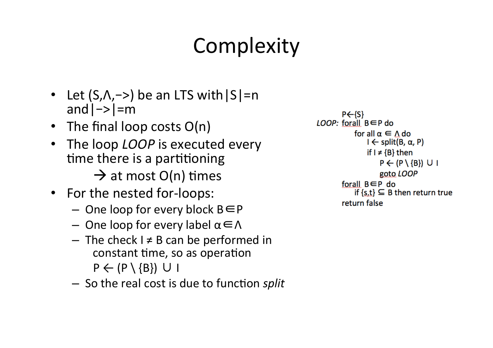# **Complexity**

- Let  $(S,\Lambda,-)$  be an LTS with  $|S|=n$ and $|->|=m$
- The final loop costs  $O(n)$
- The loop *LOOP* is executed every time there is a partitioning  $\rightarrow$  at most O(n) times
- For the nested for-loops:
	- $-$  One loop for every block  $B \in P$
	- $-$  One loop for every label α ∈ Λ
	- $-$  The check I  $\neq$  B can be performed in constant time, so as operation  $P \leftarrow (P \setminus \{B\}) \cup I$
	- $-$  So the real cost is due to function *split*

 $P \leftarrow \{S\}$  $LOOP:$  forall  $B \in P$  do for all  $\alpha \in \Lambda$  do  $I \leftarrow split(B, \alpha, P)$ if  $I \neq \{B\}$  then  $P \leftarrow (P \setminus \{B\}) \cup I$ goto LOOP forall  $B \in P$  do if  $\{s,t\} \subseteq B$  then return true return false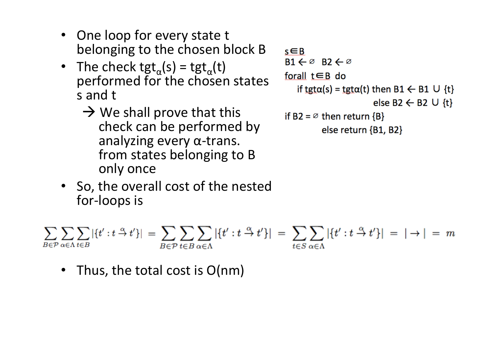- One loop for every state t belonging to the chosen block B
- The check tgt<sub>a</sub>(s) = tgt<sub>a</sub>(t) performed for the chosen states s and t
	- $\rightarrow$  We shall prove that this<br>
	check can be performed by<br>
	analyzing every  $\alpha$ -trans. from states belonging to B<br>only once

```
s \in BB1 \leftarrow \emptyset B2 \leftarrow \emptysetforall t \in B do
    if tgt\alpha(s) = tgt\alpha(t) then B1 \leftarrow B1 \cup {t}
                                 else B2 \leftarrow B2 \cup {t}
if B2 = \emptyset then return {B}
              else return \{B1, B2\}
```
• So, the overall cost of the nested for-loops is

$$
\sum_{B \in \mathcal{P}} \sum_{\alpha \in \Lambda} \sum_{t \in B} |\{t' : t \stackrel{\alpha}{\to} t'\}| = \sum_{B \in \mathcal{P}} \sum_{t \in B} \sum_{\alpha \in \Lambda} |\{t' : t \stackrel{\alpha}{\to} t'\}| = \sum_{t \in S} \sum_{\alpha \in \Lambda} |\{t' : t \stackrel{\alpha}{\to} t'\}| = |\to| = m
$$

Thus, the total cost is  $O(nm)$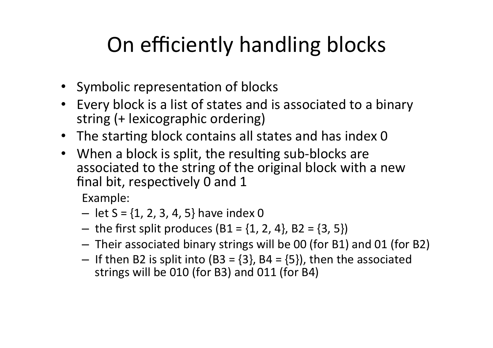## On efficiently handling blocks

- Symbolic representation of blocks
- Every block is a list of states and is associated to a binary string (+ lexicographic ordering)
- The starting block contains all states and has index 0
- When a block is split, the resulting sub-blocks are associated to the string of the original block with a new final bit, respectively 0 and 1

Example: 

- $-$  let S = {1, 2, 3, 4, 5} have index 0
- the first split produces  $(B1 = \{1, 2, 4\}, B2 = \{3, 5\})$
- Their associated binary strings will be 00 (for B1) and 01 (for B2)
- If then B2 is split into (B3 =  $\{3\}$ , B4 =  $\{5\}$ ), then the associated strings will be 010 (for B3) and 011 (for B4)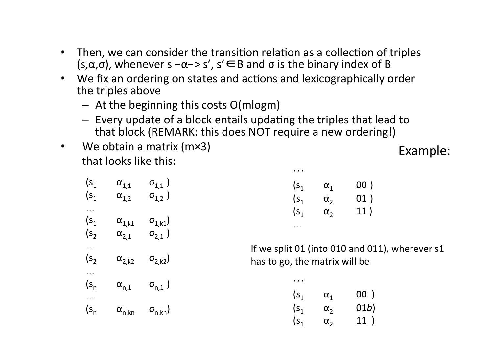- Then, we can consider the transition relation as a collection of triples  $(s, \alpha, \sigma)$ , whenever s  $-\alpha \rightarrow s'$ ,  $s' \in B$  and  $\sigma$  is the binary index of B
- We fix an ordering on states and actions and lexicographically order the triples above
	- $-$  At the beginning this costs O(mlogm)
	- $-$  Every update of a block entails updating the triples that lead to that block (REMARK: this does NOT require a new ordering!)

 …

• We obtain a matrix  $(mx3)$ that looks like this: 

Example: 

| (s <sub>1</sub> )<br>(s <sub>1</sub> ) | $\alpha_{1,1}$<br>$\alpha_{1,2}$  | $\sigma^{\vphantom{\dagger}}_{1,1}$ )<br>$\sigma_{1,2}$ ) |
|----------------------------------------|-----------------------------------|-----------------------------------------------------------|
| (s <sub>1</sub> )<br>(s,               | $\alpha_{1,k1}$<br>$\alpha_{2,1}$ | $\sigma^{\,}_{1, k1})$<br>$\sigma_{2,1}$ )                |
| (s <sub>2</sub> )                      | $\alpha_{2,k2}$                   | $\sigma_{2,k2}$                                           |
| $(s_{n}$                               | $\alpha_{\rm n,1}$                | $\sigma_{n,1}$ )                                          |
| $(s_{n}$                               | $\alpha_{n,kn}$                   | $\sigma_{n,kn}$                                           |

| $(\mathsf{S}_1)$ | $\alpha_{1}$ | 00) |
|------------------|--------------|-----|
| $(\mathsf{S}_1)$ | $\alpha_{2}$ | 01) |
| $\mathsf{S}_1$   | $\alpha_{2}$ | 11) |
| .                |              |     |

If we split 01 (into 010 and 011), wherever s1 has to go, the matrix will be

| $\ddot{\phantom{a}}$ |              |      |
|----------------------|--------------|------|
| $(\mathsf{S}_1)$     | $\alpha_{1}$ | 00)  |
| (s <sub>1</sub> )    | $\alpha_{2}$ | 01b) |
| (s <sub>1</sub> )    | $\alpha_{2}$ | 11)  |